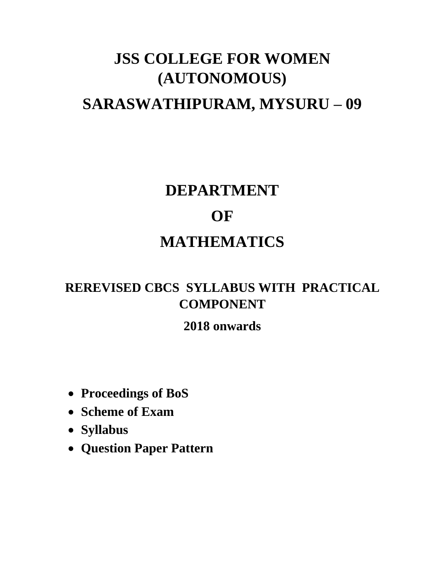# **JSS COLLEGE FOR WOMEN (AUTONOMOUS) SARASWATHIPURAM, MYSURU – 09**

# **DEPARTMENT OF MATHEMATICS**

## **REREVISED CBCS SYLLABUS WITH PRACTICAL COMPONENT**

## **2018 onwards**

- **Proceedings of BoS**
- **Scheme of Exam**
- **Syllabus**
- **Question Paper Pattern**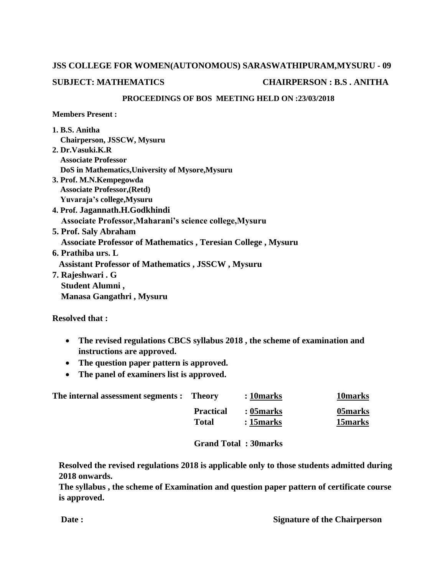# **JSS COLLEGE FOR WOMEN(AUTONOMOUS) SARASWATHIPURAM,MYSURU - 09**

### **SUBJECT: MATHEMATICS CHAIRPERSON : B.S . ANITHA**

#### **PROCEEDINGS OF BOS MEETING HELD ON :23/03/2018**

**Members Present :**

| 1. B.S. Anitha                                                      |
|---------------------------------------------------------------------|
| Chairperson, JSSCW, Mysuru                                          |
| 2. Dr. Vasuki. K. R                                                 |
| <b>Associate Professor</b>                                          |
| DoS in Mathematics, University of Mysore, Mysuru                    |
| 3. Prof. M.N.Kempegowda                                             |
| <b>Associate Professor, (Retd)</b>                                  |
| Yuvaraja's college, Mysuru                                          |
| 4. Prof. Jagannath.H.Godkhindi                                      |
| Associate Professor, Maharani's science college, Mysuru             |
| 5. Prof. Saly Abraham                                               |
| <b>Associate Professor of Mathematics, Teresian College, Mysuru</b> |
| 6. Prathiba urs. L                                                  |
| <b>Assistant Professor of Mathematics, JSSCW, Mysuru</b>            |
| 7. Rajeshwari . G                                                   |
| Student Alumni,                                                     |
| Manasa Gangathri, Mysuru                                            |

**Resolved that :**

- **The revised regulations CBCS syllabus 2018 , the scheme of examination and instructions are approved.**
- **The question paper pattern is approved.**
- **The panel of examiners list is approved.**

| The internal assessment segments : Theory |                  | : 10 marks  | 10marks        |
|-------------------------------------------|------------------|-------------|----------------|
|                                           | <b>Practical</b> | : 05 marks  | 05 marks       |
|                                           | Total            | $:15$ marks | <b>15marks</b> |

### **Grand Total : 30marks**

**Resolved the revised regulations 2018 is applicable only to those students admitted during 2018 onwards.**

**The syllabus , the scheme of Examination and question paper pattern of certificate course is approved.**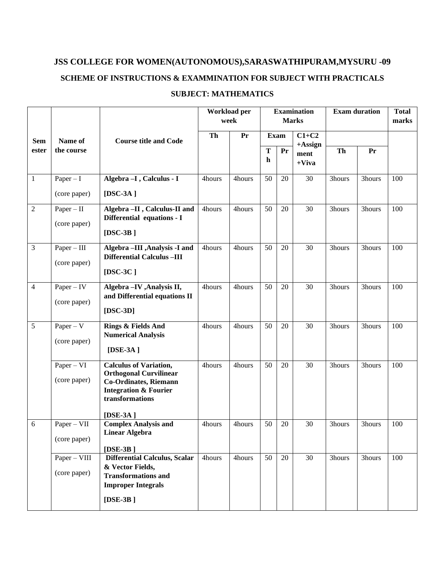### **JSS COLLEGE FOR WOMEN(AUTONOMOUS),SARASWATHIPURAM,MYSURU -09 SCHEME OF INSTRUCTIONS & EXAMMINATION FOR SUBJECT WITH PRACTICALS**

|                |                               |                                                                                                                                                                   |        | Workload per<br>week       | <b>Examination</b><br><b>Marks</b> |                                | <b>Exam duration</b> |        | <b>Total</b><br>marks |     |
|----------------|-------------------------------|-------------------------------------------------------------------------------------------------------------------------------------------------------------------|--------|----------------------------|------------------------------------|--------------------------------|----------------------|--------|-----------------------|-----|
| <b>Sem</b>     | Name of                       | <b>Course title and Code</b>                                                                                                                                      | Th     | Pr                         |                                    | <b>Exam</b>                    | $C1+C2$              |        |                       |     |
| ester          | the course                    |                                                                                                                                                                   |        | $\mathbf T$<br>$\mathbf h$ | Pr                                 | $+$ Assign<br>ment<br>$+V$ iva | Th                   | Pr     |                       |     |
| $\mathbf{1}$   | $Paper - I$<br>(core paper)   | Algebra - I, Calculus - I<br>[ $DSC-3A$ ]                                                                                                                         | 4hours | 4hours                     | 50                                 | 20                             | 30                   | 3hours | 3hours                | 100 |
| $\overline{2}$ | $Paper - II$<br>(core paper)  | Algebra -II, Calculus-II and<br>Differential equations - I<br>[ $DSC-3B$ ]                                                                                        | 4hours | 4hours                     | 50                                 | 20                             | 30                   | 3hours | 3hours                | 100 |
| $\mathfrak{Z}$ | $Paper - III$<br>(core paper) | Algebra -III , Analysis -I and<br><b>Differential Calculus -III</b><br>[ $DSC-3C$ ]                                                                               | 4hours | 4hours                     | 50                                 | 20                             | 30                   | 3hours | 3hours                | 100 |
| $\overline{4}$ | $Paper - IV$<br>(core paper)  | Algebra - IV, Analysis II,<br>and Differential equations II<br>$[$ DSC-3D]                                                                                        | 4hours | 4hours                     | 50                                 | 20                             | 30                   | 3hours | 3hours                | 100 |
| 5              | $Paper - V$<br>(core paper)   | Rings & Fields And<br><b>Numerical Analysis</b><br>[ $DSE-3A$ ]                                                                                                   | 4hours | 4hours                     | 50                                 | 20                             | 30                   | 3hours | 3hours                | 100 |
|                | $Paper - VI$<br>(core paper)  | <b>Calculus of Variation,</b><br><b>Orthogonal Curvilinear</b><br><b>Co-Ordinates, Riemann</b><br><b>Integration &amp; Fourier</b><br>transformations<br>[DSE-3A] | 4hours | 4hours                     | 50                                 | 20                             | 30                   | 3hours | 3hours                | 100 |
| 6              | Paper - VII<br>(core paper)   | <b>Complex Analysis and</b><br><b>Linear Algebra</b><br>[ $DSE-3B$ ]                                                                                              | 4hours | 4hours                     | 50                                 | 20                             | 30                   | 3hours | 3hours                | 100 |
|                | Paper - VIII<br>(core paper)  | <b>Differential Calculus, Scalar</b><br>& Vector Fields,<br><b>Transformations and</b><br><b>Improper Integrals</b><br>[ $DSE-3B$ ]                               | 4hours | 4hours                     | 50                                 | 20                             | 30                   | 3hours | 3hours                | 100 |

### **SUBJECT: MATHEMATICS**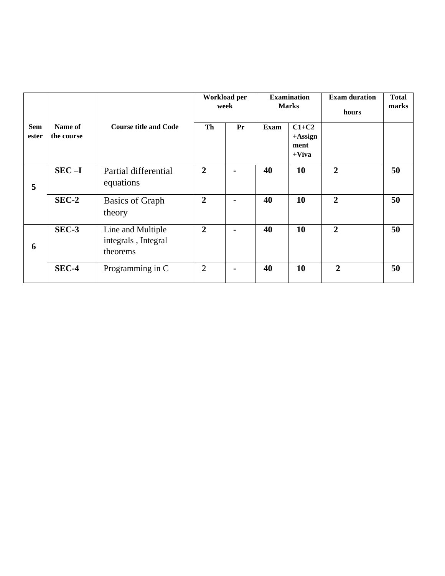|                     |                       |                                                      | Workload per<br>week |                | <b>Examination</b><br><b>Marks</b> |                                           | <b>Exam duration</b><br>hours | <b>Total</b><br>marks |
|---------------------|-----------------------|------------------------------------------------------|----------------------|----------------|------------------------------------|-------------------------------------------|-------------------------------|-----------------------|
| <b>Sem</b><br>ester | Name of<br>the course | <b>Course title and Code</b>                         | Th                   | Pr             | Exam                               | $C1+C2$<br>$+A$ ssign<br>ment<br>$+V$ iva |                               |                       |
| 5                   | $SEC - I$             | Partial differential<br>equations                    | $\overline{2}$       | $\blacksquare$ | 40                                 | 10                                        | $\overline{2}$                | 50                    |
|                     | $SEC-2$               | <b>Basics of Graph</b><br>theory                     | $\overline{2}$       | $\blacksquare$ | 40                                 | 10                                        | $\overline{2}$                | 50                    |
| 6                   | SEC-3                 | Line and Multiple<br>integrals, Integral<br>theorems | $\overline{2}$       | $\blacksquare$ | 40                                 | 10                                        | $\overline{2}$                | 50                    |
|                     | SEC-4                 | Programming in C                                     | 2                    | $\blacksquare$ | 40                                 | 10                                        | $\overline{2}$                | 50                    |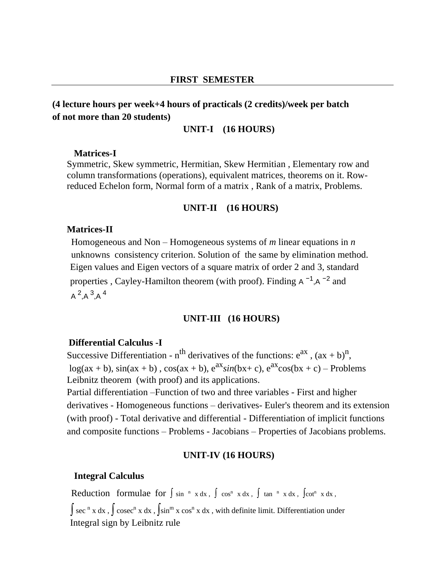#### **FIRST SEMESTER**

### **(4 lecture hours per week+4 hours of practicals (2 credits)/week per batch of not more than 20 students)**

### **UNIT-I (16 HOURS)**

#### **Matrices-I**

Symmetric, Skew symmetric, Hermitian, Skew Hermitian , Elementary row and column transformations (operations), equivalent matrices, theorems on it. Rowreduced Echelon form, Normal form of a matrix , Rank of a matrix, Problems.

#### **UNIT-II (16 HOURS)**

#### **Matrices-II**

 Homogeneous and Non – Homogeneous systems of *m* linear equations in *n* unknowns consistency criterion. Solution of the same by elimination method. Eigen values and Eigen vectors of a square matrix of order 2 and 3, standard properties, Cayley-Hamilton theorem (with proof). Finding  $A^{-1}$ ,  $A^{-2}$  and  $A^2$ ,  $A^3$ ,  $A^4$ 

#### **UNIT-III (16 HOURS)**

#### **Differential Calculus -I**

Successive Differentiation - n<sup>th</sup> derivatives of the functions:  $e^{ax}$ ,  $(ax + b)^n$ ,  $log(ax + b)$ ,  $sin(ax + b)$ ,  $cos(ax + b)$ ,  $e^{ax}sin(bx + c)$ ,  $e^{ax}cos(bx + c)$  – Problems Leibnitz theorem (with proof) and its applications.

Partial differentiation –Function of two and three variables - First and higher derivatives - Homogeneous functions – derivatives- Euler's theorem and its extension (with proof) - Total derivative and differential - Differentiation of implicit functions and composite functions – Problems - Jacobians – Properties of Jacobians problems.

#### **UNIT-IV (16 HOURS)**

#### **Integral Calculus**

Reduction formulae for  $\int \sin^{-n} x \, dx$ ,  $\int \cos^{n} x \, dx$ ,  $\int \tan^{-n} x \, dx$ ,  $\int \cot^{n} x \, dx$ ,

∫ sec<sup>n</sup> x dx , ∫ cosec<sup>n</sup> x dx , ∫sin<sup>m</sup> x cos<sup>n</sup> x dx , with definite limit. Differentiation under Integral sign by Leibnitz rule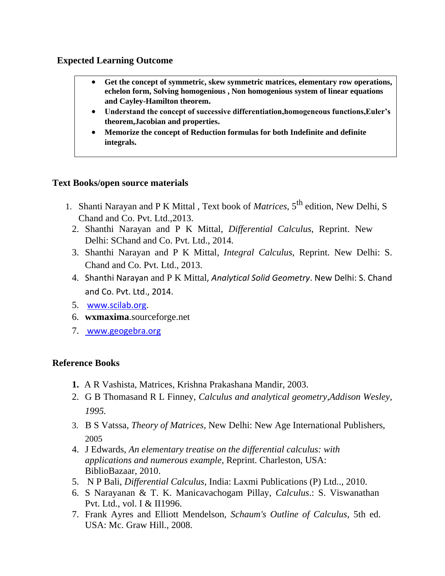### **Expected Learning Outcome**

- **Get the concept of symmetric, skew symmetric matrices, elementary row operations, echelon form, Solving homogenious , Non homogenious system of linear equations and Cayley-Hamilton theorem.**
- **Understand the concept of successive differentiation,homogeneous functions,Euler's theorem,Jacobian and properties.**
- **Memorize the concept of Reduction formulas for both Indefinite and definite integrals.**

### **Text Books/open source materials**

- 1. Shanti Narayan and P K Mittal , Text book of *Matrices*, 5th edition, New Delhi, S Chand and Co. Pvt. Ltd.,2013.
	- 2. Shanthi Narayan and P K Mittal, *Differential Calculus*, Reprint. New Delhi: SChand and Co. Pvt. Ltd., 2014.
	- 3. Shanthi Narayan and P K Mittal*, Integral Calculus*, Reprint. New Delhi: S. Chand and Co. Pvt. Ltd., 2013.
	- 4. Shanthi Narayan and P K Mittal, *Analytical Solid Geometry*. New Delhi: S. Chand and Co. Pvt. Ltd., 2014.
	- 5. [www.scilab.org.](http://www.scilab.org/)
	- 6. **wxmaxima**.sourceforge.net
	- 7. [www.geogebra.org](http://www.geogebra.org/)

### **Reference Books**

- **1.** A R Vashista, Matrices, Krishna Prakashana Mandir, 2003.
- 2. G B Thomasand R L Finney, *Calculus and analytical geometry,Addison Wesley, 1995.*
- 3. B S Vatssa, *Theory of Matrices*, New Delhi: New Age International Publishers, 2005
- 4. J Edwards, *An elementary treatise on the differential calculus: with applications and numerous example*, Reprint. Charleston, USA: BiblioBazaar, 2010.
- 5. N P Bali, *Differential Calculus*, India: Laxmi Publications (P) Ltd.., 2010.
- 6. S Narayanan & T. K. Manicavachogam Pillay, *Calculus*.: S. Viswanathan Pvt. Ltd., vol. I & II1996.
- 7. Frank Ayres and Elliott Mendelson, *Schaum's Outline of Calculus*, 5th ed. USA: Mc. Graw Hill., 2008.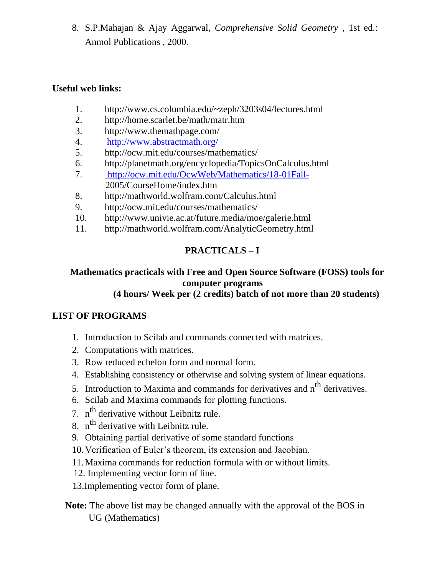8. S.P.Mahajan & Ajay Aggarwal, *Comprehensive Solid Geometry* , 1st ed.: Anmol Publications , 2000.

### **Useful web links:**

- 1. http://www.cs.columbia.edu/~zeph/3203s04/lectures.html
- 2. http://home.scarlet.be/math/matr.htm
- 3. http://www.themathpage.com/
- 4. <http://www.abstractmath.org/>
- 5. http://ocw.mit.edu/courses/mathematics/
- 6. http://planetmath.org/encyclopedia/TopicsOnCalculus.html
- 7. <http://ocw.mit.edu/OcwWeb/Mathematics/18-01Fall->2005/CourseHome/index.htm
- 8. http://mathworld.wolfram.com/Calculus.html
- 9. http://ocw.mit.edu/courses/mathematics/
- 10. http://www.univie.ac.at/future.media/moe/galerie.html
- 11. http://mathworld.wolfram.com/AnalyticGeometry.html

### **PRACTICALS – I**

### **Mathematics practicals with Free and Open Source Software (FOSS) tools for computer programs**

### **(4 hours/ Week per (2 credits) batch of not more than 20 students)**

### **LIST OF PROGRAMS**

- 1. Introduction to Scilab and commands connected with matrices.
- 2. Computations with matrices.
- 3. Row reduced echelon form and normal form.
- 4. Establishing consistency or otherwise and solving system of linear equations.
- 5. Introduction to Maxima and commands for derivatives and n<sup>th</sup> derivatives.
- 6. Scilab and Maxima commands for plotting functions.
- 7. n<sup>th</sup> derivative without Leibnitz rule.
- 8.  $n^{th}$  derivative with Leibnitz rule.
- 9. Obtaining partial derivative of some standard functions
- 10.Verification of Euler's theorem, its extension and Jacobian.
- 11.Maxima commands for reduction formula with or without limits.
- 12. Implementing vector form of line.
- 13.Implementing vector form of plane.
- **Note:** The above list may be changed annually with the approval of the BOS in UG (Mathematics)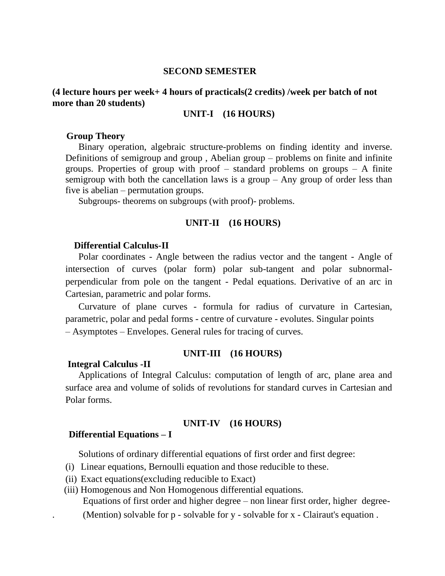#### **SECOND SEMESTER**

### **(4 lecture hours per week+ 4 hours of practicals(2 credits) /week per batch of not more than 20 students)**

#### **UNIT-I (16 HOURS)**

#### **Group Theory**

Binary operation, algebraic structure-problems on finding identity and inverse. Definitions of semigroup and group , Abelian group – problems on finite and infinite groups. Properties of group with proof  $-$  standard problems on groups  $-$  A finite semigroup with both the cancellation laws is a group – Any group of order less than five is abelian – permutation groups.

Subgroups- theorems on subgroups (with proof)- problems.

#### **UNIT-II (16 HOURS)**

#### **Differential Calculus-II**

Polar coordinates - Angle between the radius vector and the tangent - Angle of intersection of curves (polar form) polar sub-tangent and polar subnormalperpendicular from pole on the tangent - Pedal equations. Derivative of an arc in Cartesian, parametric and polar forms.

Curvature of plane curves - formula for radius of curvature in Cartesian, parametric, polar and pedal forms - centre of curvature - evolutes. Singular points – Asymptotes – Envelopes. General rules for tracing of curves.

#### **UNIT-III (16 HOURS)**

#### **Integral Calculus -II**

Applications of Integral Calculus: computation of length of arc, plane area and surface area and volume of solids of revolutions for standard curves in Cartesian and Polar forms.

#### **UNIT-IV (16 HOURS)**

#### **Differential Equations – I**

Solutions of ordinary differential equations of first order and first degree:

- (i) Linear equations, Bernoulli equation and those reducible to these.
- (ii) Exact equations(excluding reducible to Exact)

(iii) Homogenous and Non Homogenous differential equations.

Equations of first order and higher degree – non linear first order, higher degree-

. (Mention) solvable for p - solvable for y - solvable for x - Clairaut's equation .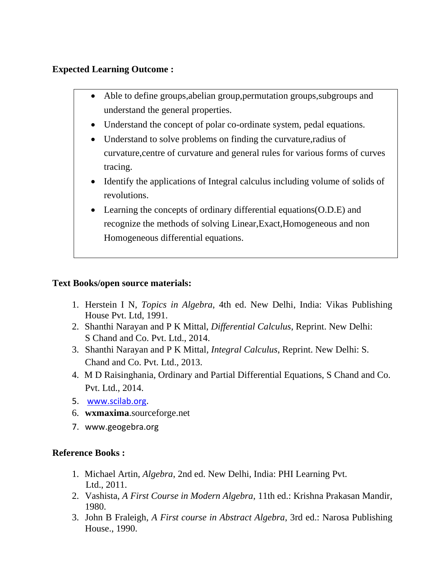### **Expected Learning Outcome :**

- Able to define groups, abelian group, permutation groups, subgroups and understand the general properties.
- Understand the concept of polar co-ordinate system, pedal equations.
- Understand to solve problems on finding the curvature, radius of curvature,centre of curvature and general rules for various forms of curves tracing.
- Identify the applications of Integral calculus including volume of solids of revolutions.
- Learning the concepts of ordinary differential equations(O.D.E) and recognize the methods of solving Linear,Exact,Homogeneous and non Homogeneous differential equations.

### **Text Books/open source materials:**

- 1. Herstein I N, *Topics in Algebra*, 4th ed. New Delhi, India: Vikas Publishing House Pvt. Ltd, 1991.
- 2. Shanthi Narayan and P K Mittal, *Differential Calculus*, Reprint. New Delhi: S Chand and Co. Pvt. Ltd., 2014.
- 3. Shanthi Narayan and P K Mittal*, Integral Calculus*, Reprint. New Delhi: S. Chand and Co. Pvt. Ltd., 2013.
- 4. M D Raisinghania, Ordinary and Partial Differential Equations, S Chand and Co. Pvt. Ltd., 2014.
- 5. [www.scilab.org.](http://www.scilab.org/)
- 6. **wxmaxima**.sourceforge.net
- 7. www.geogebra.org

### **Reference Books :**

- 1. Michael Artin, *Algebra*, 2nd ed. New Delhi, India: PHI Learning Pvt. Ltd., 2011.
- 2. Vashista, *A First Course in Modern Algebra*, 11th ed.: Krishna Prakasan Mandir, 1980.
- 3. John B Fraleigh, *A First course in Abstract Algebra*, 3rd ed.: Narosa Publishing House., 1990.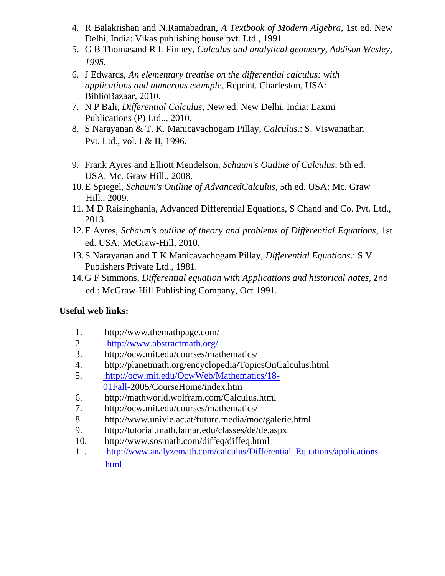- 4. R Balakrishan and N.Ramabadran, *A Textbook of Modern Algebra*, 1st ed. New Delhi, India: Vikas publishing house pvt. Ltd., 1991.
- 5. G B Thomasand R L Finney, *Calculus and analytical geometry, Addison Wesley, 1995.*
- 6. J Edwards, *An elementary treatise on the differential calculus: with applications and numerous example*, Reprint. Charleston, USA: BiblioBazaar, 2010.
- 7. N P Bali, *Differential Calculus*, New ed. New Delhi, India: Laxmi Publications (P) Ltd.., 2010.
- 8. S Narayanan & T. K. Manicavachogam Pillay, *Calculus*.: S. Viswanathan Pvt. Ltd., vol. I & II, 1996.
- 9. Frank Ayres and Elliott Mendelson, *Schaum's Outline of Calculus*, 5th ed. USA: Mc. Graw Hill., 2008.
- 10.E Spiegel, *Schaum's Outline of AdvancedCalculus*, 5th ed. USA: Mc. Graw Hill., 2009.
- 11. M D Raisinghania, Advanced Differential Equations, S Chand and Co. Pvt. Ltd., 2013.
- 12.F Ayres, *Schaum's outline of theory and problems of Differential Equations*, 1st ed. USA: McGraw-Hill, 2010.
- 13.S Narayanan and T K Manicavachogam Pillay, *Differential Equations*.: S V Publishers Private Ltd., 1981.
- 14.G F Simmons, *Differential equation with Applications and historical notes*, 2nd ed.: McGraw-Hill Publishing Company, Oct 1991.

- 1. http://www.themathpage.com/
- 2. <http://www.abstractmath.org/>
- 3. http://ocw.mit.edu/courses/mathematics/
- 4. http://planetmath.org/encyclopedia/TopicsOnCalculus.html
- 5. [http://ocw.mit.edu/OcwWeb/Mathematics/18-](http://ocw.mit.edu/OcwWeb/Mathematics/18-01Fall-) [01Fall-](http://ocw.mit.edu/OcwWeb/Mathematics/18-01Fall-)2005/CourseHome/index.htm
- 6. http://mathworld.wolfram.com/Calculus.html
- 7. http://ocw.mit.edu/courses/mathematics/
- 8. http://www.univie.ac.at/future.media/moe/galerie.html
- 9. http://tutorial.math.lamar.edu/classes/de/de.aspx
- 10. http://www.sosmath.com/diffeq/diffeq.html
- 11. [http://www.analyzemath.com/calculus/Differential\\_Equations/applicatio](http://www.analyzemath.com/calculus/Differential_Equations/applications.html)[ns](http://www.analyzemath.com/calculus/Differential_Equations/applications.html). [html](http://www.analyzemath.com/calculus/Differential_Equations/applications.html)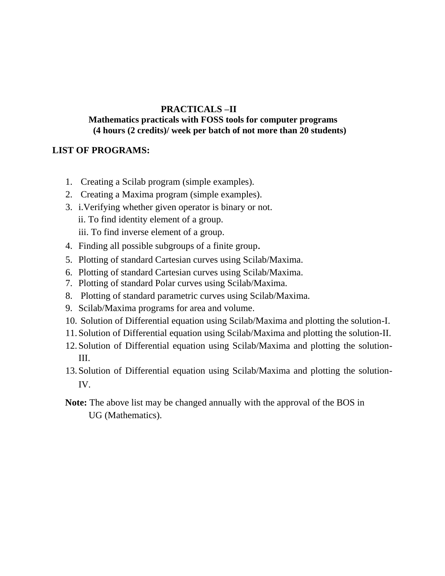### **PRACTICALS –II**

#### **Mathematics practicals with FOSS tools for computer programs (4 hours (2 credits)/ week per batch of not more than 20 students)**

### **LIST OF PROGRAMS:**

- 1. Creating a Scilab program (simple examples).
- 2. Creating a Maxima program (simple examples).
- 3. i.Verifying whether given operator is binary or not. ii. To find identity element of a group. iii. To find inverse element of a group.
- 4. Finding all possible subgroups of a finite group.
- 5. Plotting of standard Cartesian curves using Scilab/Maxima.
- 6. Plotting of standard Cartesian curves using Scilab/Maxima.
- 7. Plotting of standard Polar curves using Scilab/Maxima.
- 8. Plotting of standard parametric curves using Scilab/Maxima.
- 9. Scilab/Maxima programs for area and volume.
- 10. Solution of Differential equation using Scilab/Maxima and plotting the solution-I.
- 11.Solution of Differential equation using Scilab/Maxima and plotting the solution-II.
- 12.Solution of Differential equation using Scilab/Maxima and plotting the solution-III.
- 13.Solution of Differential equation using Scilab/Maxima and plotting the solution-IV.
- **Note:** The above list may be changed annually with the approval of the BOS in UG (Mathematics).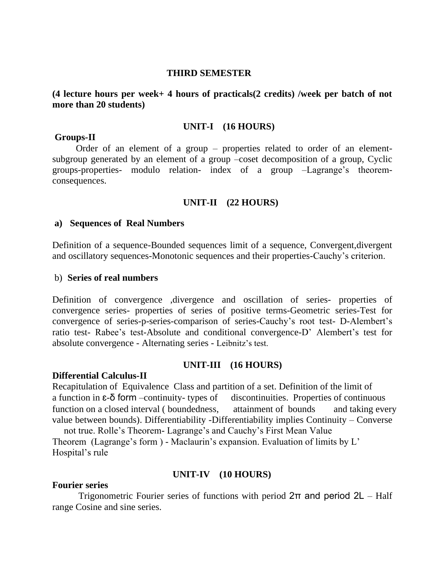#### **THIRD SEMESTER**

**(4 lecture hours per week+ 4 hours of practicals(2 credits) /week per batch of not more than 20 students)**

#### **UNIT-I (16 HOURS)**

#### **Groups-II**

 Order of an element of a group – properties related to order of an elementsubgroup generated by an element of a group –coset decomposition of a group, Cyclic groups-properties- modulo relation- index of a group –Lagrange's theoremconsequences.

### **UNIT-II (22 HOURS)**

#### **a) Sequences of Real Numbers**

Definition of a sequence-Bounded sequences limit of a sequence, Convergent,divergent and oscillatory sequences-Monotonic sequences and their properties-Cauchy's criterion.

#### b) **Series of real numbers**

Definition of convergence ,divergence and oscillation of series- properties of convergence series- properties of series of positive terms-Geometric series-Test for convergence of series-p-series-comparison of series-Cauchy's root test- D-Alembert's ratio test- Rabee's test-Absolute and conditional convergence-D' Alembert's test for absolute convergence - Alternating series - Leibnitz's test.

#### **UNIT-III (16 HOURS)**

#### **Differential Calculus-II**

Recapitulation of Equivalence Class and partition of a set. Definition of the limit of a function in  $\varepsilon$ - $\delta$  form –continuity- types of discontinuities. Properties of continuous function on a closed interval ( boundedness, attainment of bounds and taking every value between bounds). Differentiability -Differentiability implies Continuity – Converse

not true. Rolle's Theorem- Lagrange's and Cauchy's First Mean Value Theorem (Lagrange's form ) - Maclaurin's expansion. Evaluation of limits by L' Hospital's rule

#### **UNIT-IV (10 HOURS)**

#### **Fourier series**

Trigonometric Fourier series of functions with period  $2\pi$  and period  $2L$  – Half range Cosine and sine series.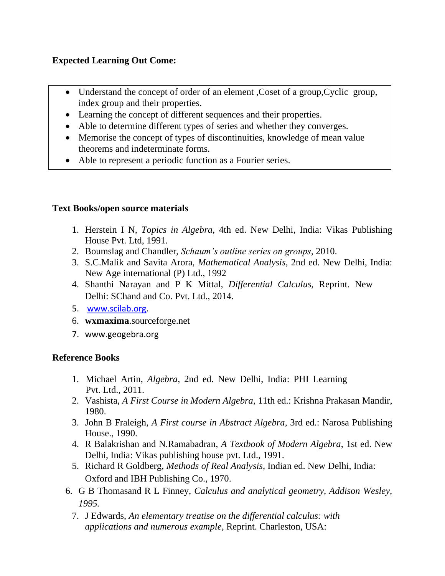### **Expected Learning Out Come:**

- Understand the concept of order of an element, Coset of a group, Cyclic group, index group and their properties.
- Learning the concept of different sequences and their properties.
- Able to determine different types of series and whether they converges.
- Memorise the concept of types of discontinuities, knowledge of mean value theorems and indeterminate forms.
- Able to represent a periodic function as a Fourier series.

### **Text Books/open source materials**

- 1. Herstein I N, *Topics in Algebra*, 4th ed. New Delhi, India: Vikas Publishing House Pvt. Ltd, 1991.
- 2. Boumslag and Chandler, *Schaum's outline series on groups*, 2010.
- 3. S.C.Malik and Savita Arora, *Mathematical Analysis*, 2nd ed. New Delhi, India: New Age international (P) Ltd., 1992
- 4. Shanthi Narayan and P K Mittal, *Differential Calculus*, Reprint. New Delhi: SChand and Co. Pvt. Ltd., 2014.
- 5. [www.scilab.org.](http://www.scilab.org/)
- 6. **wxmaxima**.sourceforge.net
- 7. www.geogebra.org

### **Reference Books**

- 1. Michael Artin, *Algebra*, 2nd ed. New Delhi, India: PHI Learning Pvt. Ltd., 2011.
- 2. Vashista, *A First Course in Modern Algebra*, 11th ed.: Krishna Prakasan Mandir, 1980.
- 3. John B Fraleigh, *A First course in Abstract Algebra*, 3rd ed.: Narosa Publishing House., 1990.
- 4. R Balakrishan and N.Ramabadran, *A Textbook of Modern Algebra*, 1st ed. New Delhi, India: Vikas publishing house pvt. Ltd., 1991.
- 5. Richard R Goldberg, *Methods of Real Analysis*, Indian ed. New Delhi, India: Oxford and IBH Publishing Co., 1970.
- 6. G B Thomasand R L Finney, *Calculus and analytical geometry, Addison Wesley, 1995.* 
	- 7. J Edwards, *An elementary treatise on the differential calculus: with applications and numerous example*, Reprint. Charleston, USA: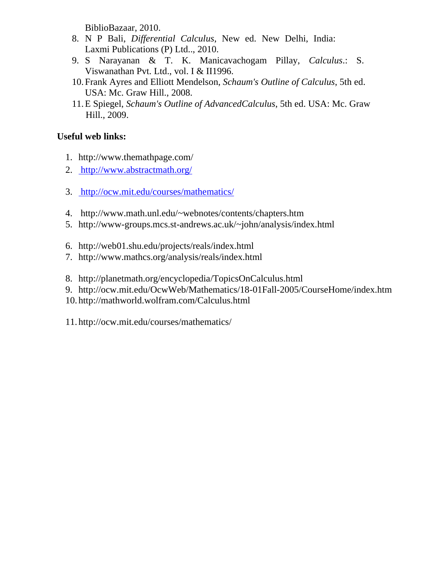BiblioBazaar, 2010.

- 8. N P Bali, *Differential Calculus*, New ed. New Delhi, India: Laxmi Publications (P) Ltd.., 2010.
- 9. S Narayanan & T. K. Manicavachogam Pillay, *Calculus*.: S. Viswanathan Pvt. Ltd., vol. I & II1996.
- 10.Frank Ayres and Elliott Mendelson, *Schaum's Outline of Calculus*, 5th ed. USA: Mc. Graw Hill., 2008.
- 11.E Spiegel, *Schaum's Outline of AdvancedCalculus*, 5th ed. USA: Mc. Graw Hill., 2009.

### **Useful web links:**

- 1. http://www.themathpage.com/
- 2. <http://www.abstractmath.org/>
- 3. <http://ocw.mit.edu/courses/mathematics/>
- 4. http://www.math.unl.edu/~webnotes/contents/chapters.htm
- 5. http://www-groups.mcs.st-andrews.ac.uk/~john/analysis/index.html
- 6. http://web01.shu.edu/projects/reals/index.html
- 7. http://www.mathcs.org/analysis/reals/index.html
- 8. http://planetmath.org/encyclopedia/TopicsOnCalculus.html
- 9. http://ocw.mit.edu/OcwWeb/Mathematics/18-01Fall-2005/CourseHome/index.htm
- 10. http://mathworld.wolfram.com/Calculus.html

11. http://ocw.mit.edu/courses/mathematics/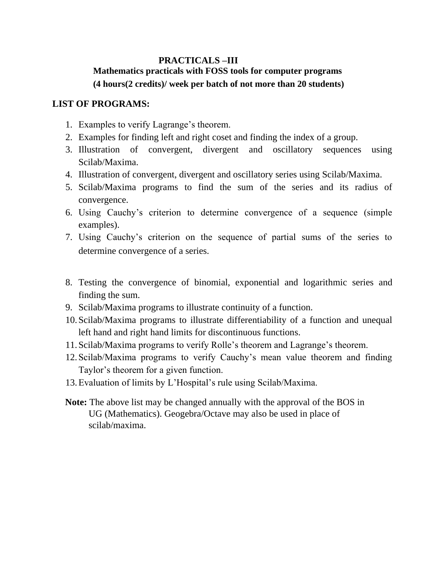### **PRACTICALS –III Mathematics practicals with FOSS tools for computer programs (4 hours(2 credits)/ week per batch of not more than 20 students)**

### **LIST OF PROGRAMS:**

- 1. Examples to verify Lagrange's theorem.
- 2. Examples for finding left and right coset and finding the index of a group.
- 3. Illustration of convergent, divergent and oscillatory sequences using Scilab/Maxima.
- 4. Illustration of convergent, divergent and oscillatory series using Scilab/Maxima.
- 5. Scilab/Maxima programs to find the sum of the series and its radius of convergence.
- 6. Using Cauchy's criterion to determine convergence of a sequence (simple examples).
- 7. Using Cauchy's criterion on the sequence of partial sums of the series to determine convergence of a series.
- 8. Testing the convergence of binomial, exponential and logarithmic series and finding the sum.
- 9. Scilab/Maxima programs to illustrate continuity of a function.
- 10.Scilab/Maxima programs to illustrate differentiability of a function and unequal left hand and right hand limits for discontinuous functions.
- 11.Scilab/Maxima programs to verify Rolle's theorem and Lagrange's theorem.
- 12.Scilab/Maxima programs to verify Cauchy's mean value theorem and finding Taylor's theorem for a given function.
- 13.Evaluation of limits by L'Hospital's rule using Scilab/Maxima.
- **Note:** The above list may be changed annually with the approval of the BOS in UG (Mathematics). Geogebra/Octave may also be used in place of scilab/maxima.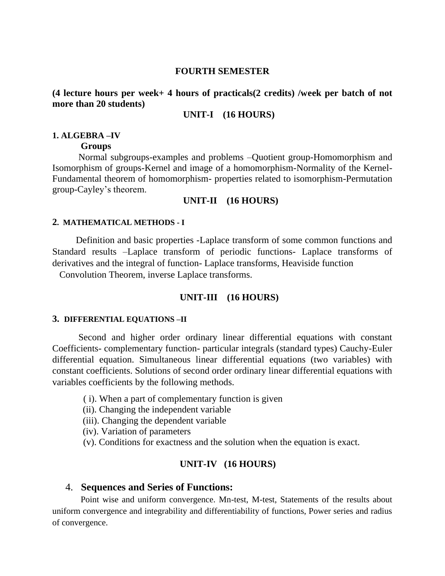#### **FOURTH SEMESTER**

#### **(4 lecture hours per week+ 4 hours of practicals(2 credits) /week per batch of not more than 20 students)**

#### **UNIT-I (16 HOURS)**

#### **1. ALGEBRA –IV**

#### **Groups**

Normal subgroups-examples and problems –Quotient group-Homomorphism and Isomorphism of groups-Kernel and image of a homomorphism-Normality of the Kernel-Fundamental theorem of homomorphism- properties related to isomorphism-Permutation group-Cayley's theorem.

#### **UNIT-II (16 HOURS)**

#### **2. MATHEMATICAL METHODS - I**

 Definition and basic properties -Laplace transform of some common functions and Standard results –Laplace transform of periodic functions- Laplace transforms of derivatives and the integral of function- Laplace transforms, Heaviside function

Convolution Theorem, inverse Laplace transforms.

### **UNIT-III (16 HOURS)**

#### **3. DIFFERENTIAL EQUATIONS –II**

Second and higher order ordinary linear differential equations with constant Coefficients- complementary function- particular integrals (standard types) Cauchy-Euler differential equation. Simultaneous linear differential equations (two variables) with constant coefficients. Solutions of second order ordinary linear differential equations with variables coefficients by the following methods.

- ( i). When a part of complementary function is given
- (ii). Changing the independent variable
- (iii). Changing the dependent variable
- (iv). Variation of parameters
- (v). Conditions for exactness and the solution when the equation is exact.

#### **UNIT-IV (16 HOURS)**

#### 4. **Sequences and Series of Functions:**

Point wise and uniform convergence. Mn-test, M-test, Statements of the results about uniform convergence and integrability and differentiability of functions, Power series and radius of convergence.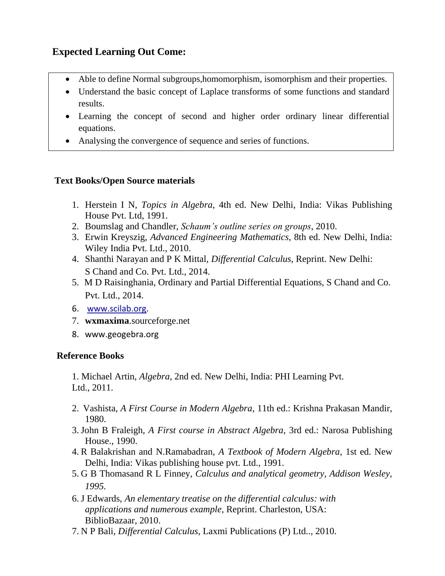### **Expected Learning Out Come:**

- Able to define Normal subgroups,homomorphism, isomorphism and their properties.
- Understand the basic concept of Laplace transforms of some functions and standard results.
- Learning the concept of second and higher order ordinary linear differential equations.
- Analysing the convergence of sequence and series of functions.

### **Text Books/Open Source materials**

- 1. Herstein I N, *Topics in Algebra*, 4th ed. New Delhi, India: Vikas Publishing House Pvt. Ltd, 1991.
- 2. Boumslag and Chandler, *Schaum's outline series on groups*, 2010.
- 3. Erwin Kreyszig, *Advanced Engineering Mathematics*, 8th ed. New Delhi, India: Wiley India Pvt. Ltd., 2010.
- 4. Shanthi Narayan and P K Mittal, *Differential Calculus*, Reprint. New Delhi: S Chand and Co. Pvt. Ltd., 2014.
- 5. M D Raisinghania, Ordinary and Partial Differential Equations, S Chand and Co. Pvt. Ltd., 2014.
- 6. [www.scilab.org.](http://www.scilab.org/)
- 7. **wxmaxima**.sourceforge.net
- 8. www.geogebra.org

### **Reference Books**

1. Michael Artin, *Algebra*, 2nd ed. New Delhi, India: PHI Learning Pvt. Ltd., 2011.

- 2. Vashista, *A First Course in Modern Algebra*, 11th ed.: Krishna Prakasan Mandir, 1980.
- 3. John B Fraleigh, *A First course in Abstract Algebra*, 3rd ed.: Narosa Publishing House., 1990.
- 4. R Balakrishan and N.Ramabadran, *A Textbook of Modern Algebra*, 1st ed. New Delhi, India: Vikas publishing house pvt. Ltd., 1991.
- 5. G B Thomasand R L Finney, *Calculus and analytical geometry, Addison Wesley, 1995.*
- 6. J Edwards, *An elementary treatise on the differential calculus: with applications and numerous example*, Reprint. Charleston, USA: BiblioBazaar, 2010.
- 7. N P Bali, *Differential Calculus*, Laxmi Publications (P) Ltd.., 2010.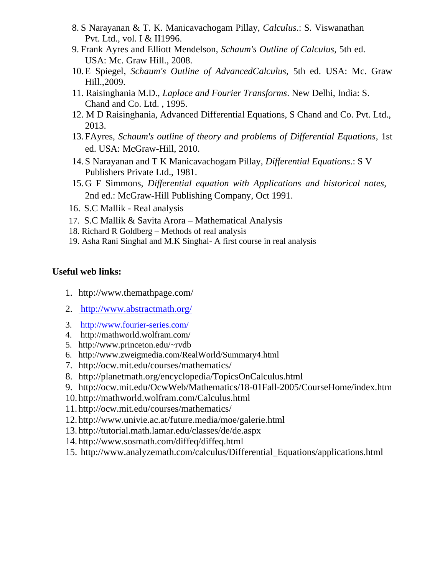- 8. S Narayanan & T. K. Manicavachogam Pillay, *Calculus*.: S. Viswanathan Pvt. Ltd., vol. I & II1996.
- 9. Frank Ayres and Elliott Mendelson, *Schaum's Outline of Calculus*, 5th ed. USA: Mc. Graw Hill., 2008.
- 10.E Spiegel, *Schaum's Outline of AdvancedCalculus*, 5th ed. USA: Mc. Graw Hill.,2009.
- 11. Raisinghania M.D., *Laplace and Fourier Transforms*. New Delhi, India: S. Chand and Co. Ltd. , 1995.
- 12. M D Raisinghania, Advanced Differential Equations, S Chand and Co. Pvt. Ltd., 2013.
- 13.FAyres, *Schaum's outline of theory and problems of Differential Equations*, 1st ed. USA: McGraw-Hill, 2010.
- 14.S Narayanan and T K Manicavachogam Pillay, *Differential Equations*.: S V Publishers Private Ltd., 1981.
- 15.G F Simmons, *Differential equation with Applications and historical notes*, 2nd ed.: McGraw-Hill Publishing Company, Oct 1991.
- 16. S.C Mallik Real analysis
- 17. S.C Mallik & Savita Arora Mathematical Analysis
- 18. Richard R Goldberg Methods of real analysis
- 19. Asha Rani Singhal and M.K Singhal- A first course in real analysis

- 1. http://www.themathpage.com/
- 2. <http://www.abstractmath.org/>
- 3. <http://www.fourier-series.com/>
- 4. http://mathworld.wolfram.com/
- 5. http://www.princeton.edu/~rvdb
- 6. http://www.zweigmedia.com/RealWorld/Summary4.html
- 7. http://ocw.mit.edu/courses/mathematics/
- 8. http://planetmath.org/encyclopedia/TopicsOnCalculus.html
- 9. http://ocw.mit.edu/OcwWeb/Mathematics/18-01Fall-2005/CourseHome/index.htm
- 10. http://mathworld.wolfram.com/Calculus.html
- 11. http://ocw.mit.edu/courses/mathematics/
- 12. http://www.univie.ac.at/future.media/moe/galerie.html
- 13. http://tutorial.math.lamar.edu/classes/de/de.aspx
- 14. http://www.sosmath.com/diffeq/diffeq.html
- 15. http://www.analyzemath.com/calculus/Differential\_Equations/applications.html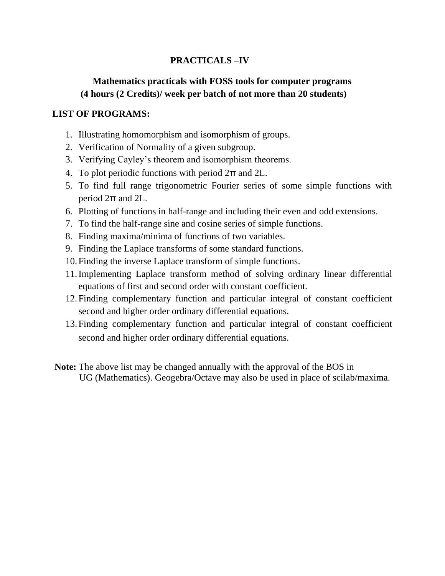### **PRACTICALS –IV**

### **Mathematics practicals with FOSS tools for computer programs (4 hours (2 Credits)/ week per batch of not more than 20 students)**

### **LIST OF PROGRAMS:**

- 1. Illustrating homomorphism and isomorphism of groups.
- 2. Verification of Normality of a given subgroup.
- 3. Verifying Cayley's theorem and isomorphism theorems.
- 4. To plot periodic functions with period 2π and 2L.
- 5. To find full range trigonometric Fourier series of some simple functions with period 2π and 2L.
- 6. Plotting of functions in half-range and including their even and odd extensions.
- 7. To find the half-range sine and cosine series of simple functions.
- 8. Finding maxima/minima of functions of two variables.
- 9. Finding the Laplace transforms of some standard functions.
- 10.Finding the inverse Laplace transform of simple functions.
- 11.Implementing Laplace transform method of solving ordinary linear differential equations of first and second order with constant coefficient.
- 12.Finding complementary function and particular integral of constant coefficient second and higher order ordinary differential equations.
- 13.Finding complementary function and particular integral of constant coefficient second and higher order ordinary differential equations.
- **Note:** The above list may be changed annually with the approval of the BOS in UG (Mathematics). Geogebra/Octave may also be used in place of scilab/maxima.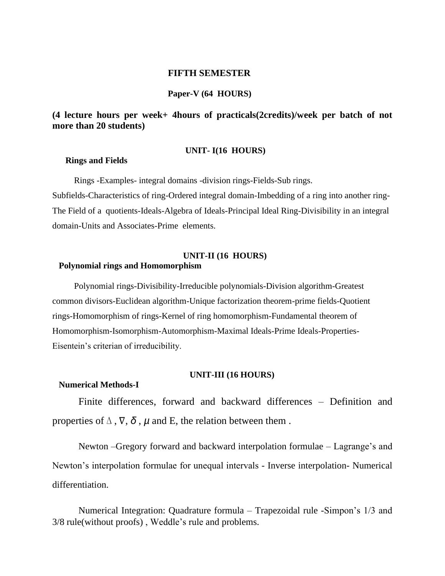#### **FIFTH SEMESTER**

#### **Paper-V (64 HOURS)**

#### **(4 lecture hours per week+ 4hours of practicals(2credits)/week per batch of not more than 20 students)**

#### **UNIT- I(16 HOURS)**

#### **Rings and Fields**

 Rings -Examples- integral domains -division rings-Fields-Sub rings. Subfields-Characteristics of ring-Ordered integral domain-Imbedding of a ring into another ring-The Field of a quotients-Ideals-Algebra of Ideals-Principal Ideal Ring-Divisibility in an integral domain-Units and Associates-Prime elements.

#### **UNIT-II (16 HOURS)**

#### **Polynomial rings and Homomorphism**

Polynomial rings-Divisibility-Irreducible polynomials-Division algorithm-Greatest common divisors-Euclidean algorithm-Unique factorization theorem-prime fields-Quotient rings-Homomorphism of rings-Kernel of ring homomorphism-Fundamental theorem of Homomorphism-Isomorphism-Automorphism-Maximal Ideals-Prime Ideals-Properties-Eisentein's criterian of irreducibility.

#### **UNIT-III (16 HOURS)**

#### **Numerical Methods-I**

Finite differences, forward and backward differences – Definition and properties of  $\Delta$ ,  $\nabla$ ,  $\delta$ ,  $\mu$  and E, the relation between them.

Newton –Gregory forward and backward interpolation formulae – Lagrange's and Newton's interpolation formulae for unequal intervals - Inverse interpolation- Numerical differentiation.

Numerical Integration: Quadrature formula – Trapezoidal rule -Simpon's 1/3 and 3/8 rule(without proofs) , Weddle's rule and problems.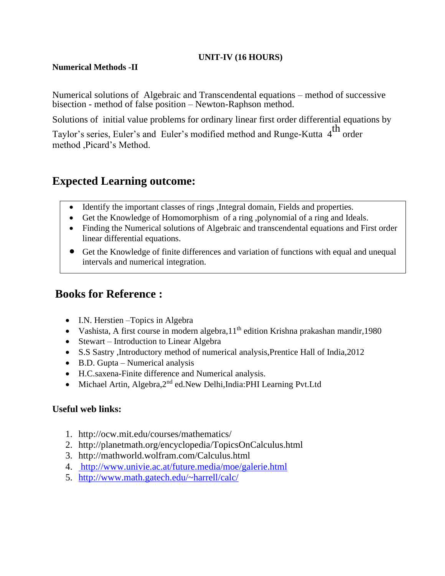### **UNIT-IV (16 HOURS)**

### **Numerical Methods -II**

Numerical solutions of Algebraic and Transcendental equations – method of successive bisection - method of false position – Newton-Raphson method.

Solutions of initial value problems for ordinary linear first order differential equations by

Taylor's series, Euler's and Euler's modified method and Runge-Kutta 4<sup>th</sup> order method ,Picard's Method.

### **Expected Learning outcome:**

- Identify the important classes of rings ,Integral domain, Fields and properties.
- Get the Knowledge of Homomorphism of a ring ,polynomial of a ring and Ideals.
- Finding the Numerical solutions of Algebraic and transcendental equations and First order linear differential equations.
- Get the Knowledge of finite differences and variation of functions with equal and unequal intervals and numerical integration.

### **Books for Reference :**

- I.N. Herstien Topics in Algebra
- Vashista, A first course in modern algebra,  $11<sup>th</sup>$  edition Krishna prakashan mandir, 1980
- Stewart Introduction to Linear Algebra
- S.S Sastry ,Introductory method of numerical analysis,Prentice Hall of India,2012
- B.D. Gupta Numerical analysis
- H.C.saxena-Finite difference and Numerical analysis.
- Michael Artin, Algebra, 2<sup>nd</sup> ed. New Delhi, India: PHI Learning Pvt. Ltd

### **Useful web links:**

- 1. http://ocw.mit.edu/courses/mathematics/
- 2. http://planetmath.org/encyclopedia/TopicsOnCalculus.html
- 3. http://mathworld.wolfram.com/Calculus.html
- 4. <http://www.univie.ac.at/future.media/moe/galerie.html>
- 5. <http://www.math.gatech.edu/~harrell/calc/>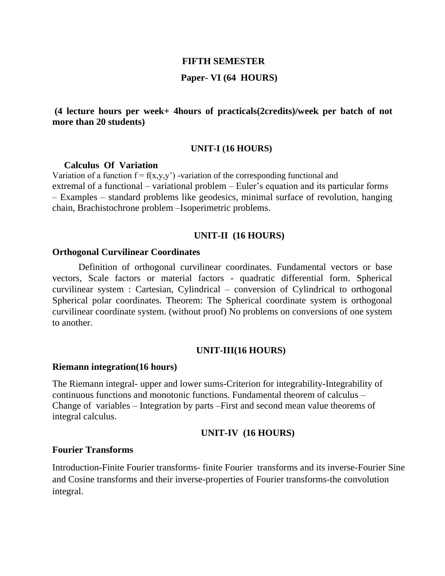#### **FIFTH SEMESTER**

### **Paper- VI (64 HOURS)**

### **(4 lecture hours per week+ 4hours of practicals(2credits)/week per batch of not more than 20 students)**

#### **UNIT-I (16 HOURS)**

#### **Calculus Of Variation**

Variation of a function  $f = f(x,y,y')$  -variation of the corresponding functional and extremal of a functional – variational problem – Euler's equation and its particular forms – Examples – standard problems like geodesics, minimal surface of revolution, hanging chain, Brachistochrone problem –Isoperimetric problems.

#### **UNIT-II (16 HOURS)**

#### **Orthogonal Curvilinear Coordinates**

Definition of orthogonal curvilinear coordinates. Fundamental vectors or base vectors, Scale factors or material factors - quadratic differential form. Spherical curvilinear system : Cartesian, Cylindrical – conversion of Cylindrical to orthogonal Spherical polar coordinates. Theorem: The Spherical coordinate system is orthogonal curvilinear coordinate system. (without proof) No problems on conversions of one system to another.

#### **UNIT-III(16 HOURS)**

#### **Riemann integration(16 hours)**

The Riemann integral- upper and lower sums-Criterion for integrability-Integrability of continuous functions and monotonic functions. Fundamental theorem of calculus – Change of variables – Integration by parts –First and second mean value theorems of integral calculus.

#### **UNIT-IV (16 HOURS)**

#### **Fourier Transforms**

Introduction-Finite Fourier transforms- finite Fourier transforms and its inverse-Fourier Sine and Cosine transforms and their inverse-properties of Fourier transforms-the convolution integral.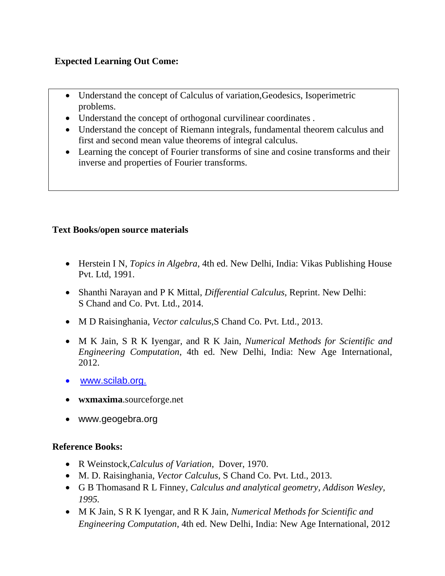### **Expected Learning Out Come:**

- Understand the concept of Calculus of variation,Geodesics, Isoperimetric problems.
- Understand the concept of orthogonal curvilinear coordinates .
- Understand the concept of Riemann integrals, fundamental theorem calculus and first and second mean value theorems of integral calculus.
- Learning the concept of Fourier transforms of sine and cosine transforms and their inverse and properties of Fourier transforms.

### **Text Books/open source materials**

- Herstein I N, *Topics in Algebra*, 4th ed. New Delhi, India: Vikas Publishing House Pvt. Ltd, 1991.
- Shanthi Narayan and P K Mittal, *Differential Calculus*, Reprint. New Delhi: S Chand and Co. Pvt. Ltd., 2014.
- M D Raisinghania, *Vector calculus*,S Chand Co. Pvt. Ltd., 2013.
- M K Jain, S R K Iyengar, and R K Jain, *Numerical Methods for Scientific and Engineering Computation*, 4th ed. New Delhi, India: New Age International, 2012.
- [www.scilab.org.](http://www.scilab.org./)
- **wxmaxima**.sourceforge.net
- www.geogebra.org

### **Reference Books:**

- R Weinstock,*Calculus of Variation*, Dover, 1970.
- M. D. Raisinghania*, Vector Calculus,* S Chand Co. Pvt. Ltd., 2013.
- G B Thomasand R L Finney, *Calculus and analytical geometry, Addison Wesley, 1995.*
- M K Jain, S R K Iyengar, and R K Jain, *Numerical Methods for Scientific and Engineering Computation*, 4th ed. New Delhi, India: New Age International, 2012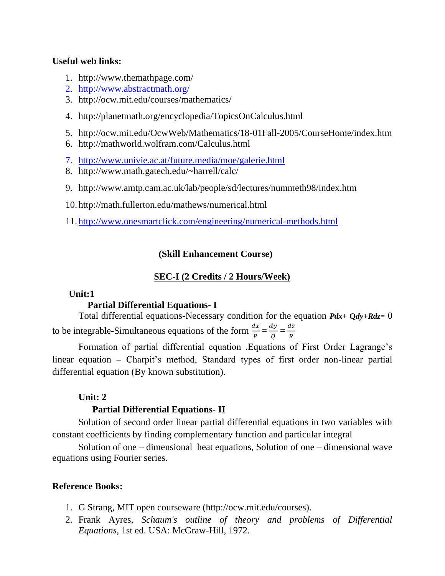- 1. http://www.themathpage.com/
- 2. <http://www.abstractmath.org/>
- 3. http://ocw.mit.edu/courses/mathematics/
- 4. http://planetmath.org/encyclopedia/TopicsOnCalculus.html
- 5. http://ocw.mit.edu/OcwWeb/Mathematics/18-01Fall-2005/CourseHome/index.htm
- 6. http://mathworld.wolfram.com/Calculus.html
- 7. <http://www.univie.ac.at/future.media/moe/galerie.html>
- 8. http://www.math.gatech.edu/~harrell/calc/
- 9. http://www.amtp.cam.ac.uk/lab/people/sd/lectures/nummeth98/index.htm
- 10. http://math.fullerton.edu/mathews/numerical.html
- 11. <http://www.onesmartclick.com/engineering/numerical-methods.html>

### **(Skill Enhancement Course)**

### **SEC-I (2 Credits / 2 Hours/Week)**

### **Unit:1**

### **Partial Differential Equations- I**

Total differential equations-Necessary condition for the equation *Pdx***+ Q***dy***+***Rdz***=** 0 to be integrable-Simultaneous equations of the form  $\frac{dx}{p} = \frac{dy}{Q}$  $\frac{dy}{Q} = \frac{dz}{R}$  $rac{12}{R}$ 

Formation of partial differential equation .Equations of First Order Lagrange's linear equation – Charpit's method, Standard types of first order non-linear partial differential equation (By known substitution).

### **Unit: 2**

### **Partial Differential Equations- II**

Solution of second order linear partial differential equations in two variables with constant coefficients by finding complementary function and particular integral

Solution of one – dimensional heat equations, Solution of one – dimensional wave equations using Fourier series.

### **Reference Books:**

- 1. G Strang, MIT open courseware (http://ocw.mit.edu/courses).
- 2. Frank Ayres, *Schaum's outline of theory and problems of Differential Equations*, 1st ed. USA: McGraw-Hill, 1972.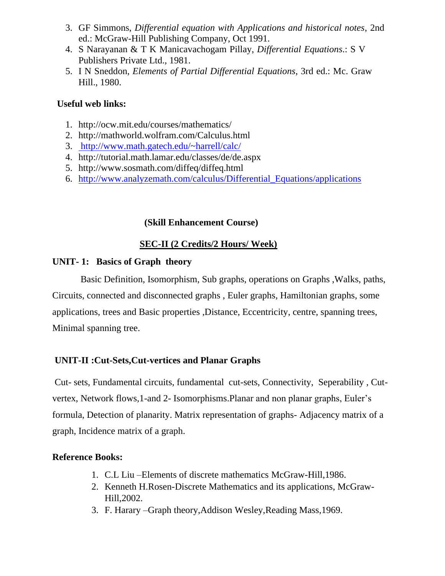- 3. GF Simmons, *Differential equation with Applications and historical notes*, 2nd ed.: McGraw-Hill Publishing Company, Oct 1991.
- 4. S Narayanan & T K Manicavachogam Pillay, *Differential Equations*.: S V Publishers Private Ltd., 1981.
- 5. I N Sneddon, *Elements of Partial Differential Equations*, 3rd ed.: Mc. Graw Hill., 1980.

- 1. http://ocw.mit.edu/courses/mathematics/
- 2. http://mathworld.wolfram.com/Calculus.html
- 3. <http://www.math.gatech.edu/~harrell/calc/>
- 4. http://tutorial.math.lamar.edu/classes/de/de.aspx
- 5. http://www.sosmath.com/diffeq/diffeq.html
- 6. [http://www.analyzemath.com/calculus/Differential\\_Equations/applications](http://www.analyzemath.com/calculus/Differential_Equations/applications)

### **(Skill Enhancement Course)**

### **SEC-II (2 Credits/2 Hours/ Week)**

### **UNIT- 1: Basics of Graph theory**

 Basic Definition, Isomorphism, Sub graphs, operations on Graphs ,Walks, paths, Circuits, connected and disconnected graphs , Euler graphs, Hamiltonian graphs, some applications, trees and Basic properties ,Distance, Eccentricity, centre, spanning trees, Minimal spanning tree.

### **UNIT-II :Cut-Sets,Cut-vertices and Planar Graphs**

Cut- sets, Fundamental circuits, fundamental cut-sets, Connectivity, Seperability , Cutvertex, Network flows,1-and 2- Isomorphisms.Planar and non planar graphs, Euler's formula, Detection of planarity. Matrix representation of graphs- Adjacency matrix of a graph, Incidence matrix of a graph.

### **Reference Books:**

- 1. C.L Liu –Elements of discrete mathematics McGraw-Hill,1986.
- 2. Kenneth H.Rosen-Discrete Mathematics and its applications, McGraw-Hill,2002.
- 3. F. Harary –Graph theory,Addison Wesley,Reading Mass,1969.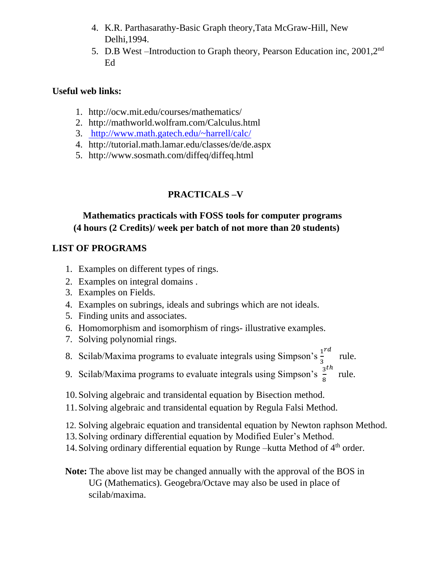- 4. K.R. Parthasarathy-Basic Graph theory,Tata McGraw-Hill, New Delhi,1994.
- 5. D.B West –Introduction to Graph theory, Pearson Education inc, 2001,2<sup>nd</sup> Ed

- 1. http://ocw.mit.edu/courses/mathematics/
- 2. http://mathworld.wolfram.com/Calculus.html
- 3. <http://www.math.gatech.edu/~harrell/calc/>
- 4. http://tutorial.math.lamar.edu/classes/de/de.aspx
- 5. http://www.sosmath.com/diffeq/diffeq.html

### **PRACTICALS –V**

### **Mathematics practicals with FOSS tools for computer programs (4 hours (2 Credits)/ week per batch of not more than 20 students)**

### **LIST OF PROGRAMS**

- 1. Examples on different types of rings.
- 2. Examples on integral domains .
- 3. Examples on Fields.
- 4. Examples on subrings, ideals and subrings which are not ideals.
- 5. Finding units and associates.
- 6. Homomorphism and isomorphism of rings- illustrative examples.
- 7. Solving polynomial rings.
- 8. Scilab/Maxima programs to evaluate integrals using Simpson's  $\frac{1}{3}$  $\frac{rd}{rule.}$
- 9. Scilab/Maxima programs to evaluate integrals using Simpson's  $\frac{3}{8}$ ℎ rule.
- 10.Solving algebraic and transidental equation by Bisection method.
- 11.Solving algebraic and transidental equation by Regula Falsi Method.
- 12. Solving algebraic equation and transidental equation by Newton raphson Method.
- 13.Solving ordinary differential equation by Modified Euler's Method.
- 14. Solving ordinary differential equation by Runge –kutta Method of 4<sup>th</sup> order.
- **Note:** The above list may be changed annually with the approval of the BOS in UG (Mathematics). Geogebra/Octave may also be used in place of scilab/maxima.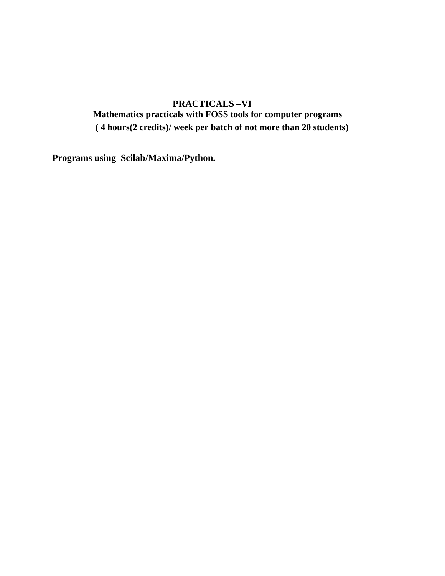### **PRACTICALS –VI Mathematics practicals with FOSS tools for computer programs ( 4 hours(2 credits)/ week per batch of not more than 20 students)**

**Programs using Scilab/Maxima/Python.**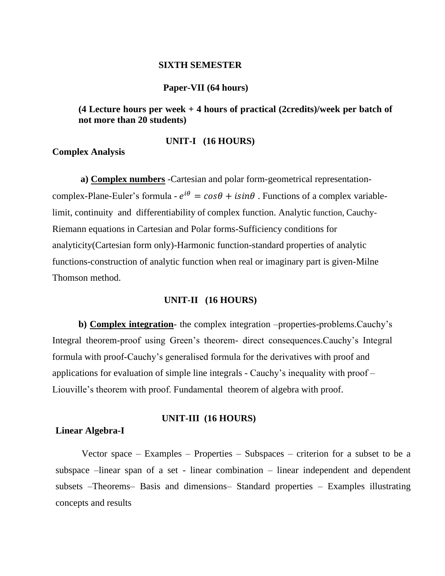#### **SIXTH SEMESTER**

#### **Paper-VII (64 hours)**

**(4 Lecture hours per week + 4 hours of practical (2credits)/week per batch of not more than 20 students)**

#### **UNIT-I (16 HOURS)**

**Complex Analysis**

 **a) Complex numbers** -Cartesian and polar form-geometrical representationcomplex-Plane-Euler's formula -  $e^{i\theta} = cos\theta + isin\theta$ . Functions of a complex variablelimit, continuity and differentiability of complex function. Analytic function, Cauchy-Riemann equations in Cartesian and Polar forms-Sufficiency conditions for analyticity(Cartesian form only)-Harmonic function-standard properties of analytic functions-construction of analytic function when real or imaginary part is given-Milne Thomson method.

#### **UNIT-II (16 HOURS)**

**b) Complex integration**- the complex integration –properties-problems.Cauchy's Integral theorem-proof using Green's theorem- direct consequences.Cauchy's Integral formula with proof-Cauchy's generalised formula for the derivatives with proof and applications for evaluation of simple line integrals - Cauchy's inequality with proof – Liouville's theorem with proof. Fundamental theorem of algebra with proof.

#### **UNIT-III (16 HOURS)**

#### **Linear Algebra-I**

Vector space – Examples – Properties – Subspaces – criterion for a subset to be a subspace –linear span of a set - linear combination – linear independent and dependent subsets –Theorems– Basis and dimensions– Standard properties – Examples illustrating concepts and results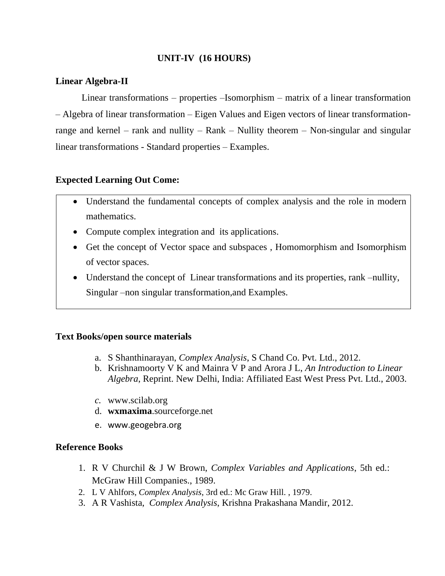### **UNIT-IV (16 HOURS)**

### **Linear Algebra-II**

Linear transformations – properties –Isomorphism – matrix of a linear transformation – Algebra of linear transformation – Eigen Values and Eigen vectors of linear transformationrange and kernel – rank and nullity – Rank – Nullity theorem – Non-singular and singular linear transformations - Standard properties – Examples.

### **Expected Learning Out Come:**

- Understand the fundamental concepts of complex analysis and the role in modern mathematics.
- Compute complex integration and its applications.
- Get the concept of Vector space and subspaces , Homomorphism and Isomorphism of vector spaces.
- Understand the concept of Linear transformations and its properties, rank –nullity, Singular –non singular transformation,and Examples.

### **Text Books/open source materials**

- a. S Shanthinarayan, *Complex Analysis*, S Chand Co. Pvt. Ltd., 2012.
- b. Krishnamoorty V K and Mainra V P and Arora J L, *An Introduction to Linear Algebra*, Reprint. New Delhi, India: Affiliated East West Press Pvt. Ltd., 2003.
- *c.* www.scilab.org
- d. **wxmaxima**.sourceforge.net
- e. www.geogebra.org

### **Reference Books**

- 1. R V Churchil & J W Brown, *Complex Variables and Applications*, 5th ed.: McGraw Hill Companies., 1989.
- 2. L V Ahlfors, *Complex Analysis*, 3rd ed.: Mc Graw Hill. , 1979.
- 3. A R Vashista, *Complex Analysis*, Krishna Prakashana Mandir, 2012.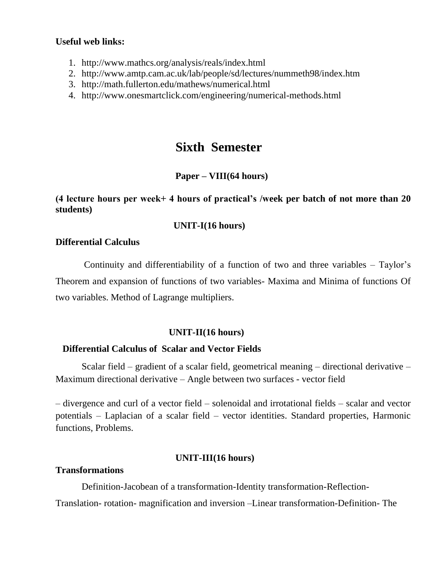- 1. http://www.mathcs.org/analysis/reals/index.html
- 2. http://www.amtp.cam.ac.uk/lab/people/sd/lectures/nummeth98/index.htm
- 3. http://math.fullerton.edu/mathews/numerical.html
- 4. http://www.onesmartclick.com/engineering/numerical-methods.html

### **Sixth Semester**

### **Paper – VIII(64 hours)**

### **(4 lecture hours per week+ 4 hours of practical's /week per batch of not more than 20 students)**

### **UNIT-I(16 hours)**

### **Differential Calculus**

Continuity and differentiability of a function of two and three variables – Taylor's Theorem and expansion of functions of two variables- Maxima and Minima of functions Of two variables. Method of Lagrange multipliers.

### **UNIT-II(16 hours)**

### **Differential Calculus of Scalar and Vector Fields**

Scalar field – gradient of a scalar field, geometrical meaning – directional derivative – Maximum directional derivative – Angle between two surfaces - vector field

– divergence and curl of a vector field – solenoidal and irrotational fields – scalar and vector potentials – Laplacian of a scalar field – vector identities. Standard properties, Harmonic functions, Problems.

### **UNIT-III(16 hours)**

### **Transformations**

Definition-Jacobean of a transformation-Identity transformation-Reflection-

Translation- rotation- magnification and inversion –Linear transformation-Definition- The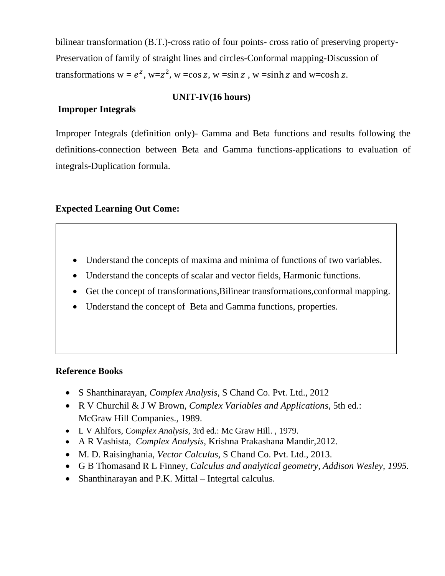bilinear transformation (B.T.)-cross ratio of four points- cross ratio of preserving property-Preservation of family of straight lines and circles-Conformal mapping-Discussion of transformations  $w = e^z$ ,  $w = z^2$ ,  $w = \cos z$ ,  $w = \sin z$ ,  $w = \sinh z$  and  $w = \cosh z$ .

### **UNIT-IV(16 hours)**

### **Improper Integrals**

Improper Integrals (definition only)- Gamma and Beta functions and results following the definitions-connection between Beta and Gamma functions-applications to evaluation of integrals-Duplication formula.

### **Expected Learning Out Come:**

- Understand the concepts of maxima and minima of functions of two variables.
- Understand the concepts of scalar and vector fields, Harmonic functions.
- Get the concept of transformations, Bilinear transformations, conformal mapping.
- Understand the concept of Beta and Gamma functions, properties.

### **Reference Books**

- S Shanthinarayan, *Complex Analysis*, S Chand Co. Pvt. Ltd., 2012
- R V Churchil & J W Brown, *Complex Variables and Applications*, 5th ed.: McGraw Hill Companies., 1989.
- L V Ahlfors, *Complex Analysis*, 3rd ed.: Mc Graw Hill. , 1979.
- A R Vashista, *Complex Analysis*, Krishna Prakashana Mandir,2012.
- M. D. Raisinghania*, Vector Calculus,* S Chand Co. Pvt. Ltd., 2013.
- G B Thomasand R L Finney, *Calculus and analytical geometry, Addison Wesley, 1995.*
- Shanthinarayan and P.K. Mittal Integrtal calculus.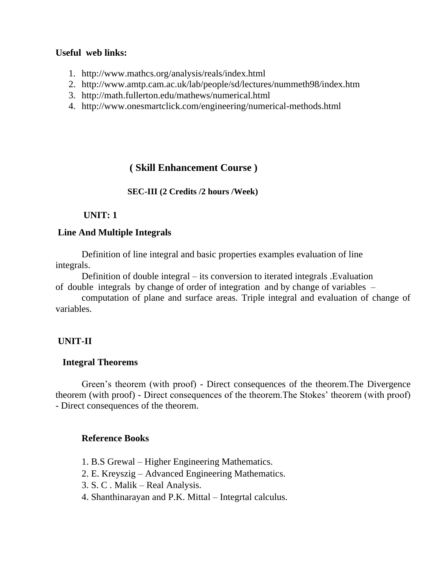- 1. http://www.mathcs.org/analysis/reals/index.html
- 2. http://www.amtp.cam.ac.uk/lab/people/sd/lectures/nummeth98/index.htm
- 3. http://math.fullerton.edu/mathews/numerical.html
- 4. http://www.onesmartclick.com/engineering/numerical-methods.html

### **( Skill Enhancement Course )**

### **SEC-III (2 Credits /2 hours /Week)**

### **UNIT: 1**

### **Line And Multiple Integrals**

Definition of line integral and basic properties examples evaluation of line integrals.

Definition of double integral – its conversion to iterated integrals .Evaluation of double integrals by change of order of integration and by change of variables –

computation of plane and surface areas. Triple integral and evaluation of change of variables.

### **UNIT-II**

### **Integral Theorems**

Green's theorem (with proof) - Direct consequences of the theorem.The Divergence theorem (with proof) - Direct consequences of the theorem.The Stokes' theorem (with proof) - Direct consequences of the theorem.

### **Reference Books**

- 1. B.S Grewal Higher Engineering Mathematics.
- 2. E. Kreyszig Advanced Engineering Mathematics.
- 3. S. C . Malik Real Analysis.
- 4. Shanthinarayan and P.K. Mittal Integrtal calculus.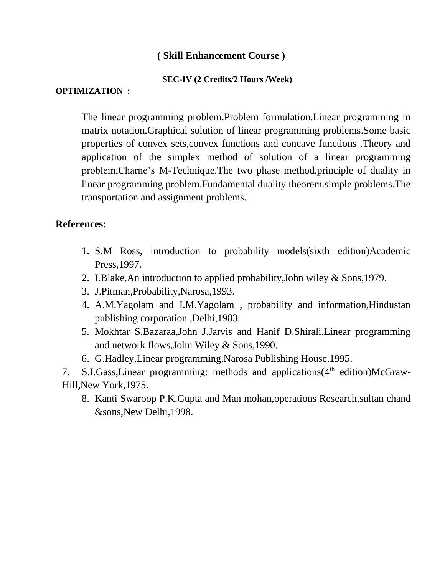### **( Skill Enhancement Course )**

### **SEC-IV (2 Credits/2 Hours /Week)**

### **OPTIMIZATION :**

The linear programming problem.Problem formulation.Linear programming in matrix notation.Graphical solution of linear programming problems.Some basic properties of convex sets,convex functions and concave functions .Theory and application of the simplex method of solution of a linear programming problem,Charne's M-Technique.The two phase method.principle of duality in linear programming problem.Fundamental duality theorem.simple problems.The transportation and assignment problems.

### **References:**

- 1. S.M Ross, introduction to probability models(sixth edition)Academic Press,1997.
- 2. I.Blake,An introduction to applied probability,John wiley & Sons,1979.
- 3. J.Pitman,Probability,Narosa,1993.
- 4. A.M.Yagolam and I.M.Yagolam , probability and information,Hindustan publishing corporation ,Delhi,1983.
- 5. Mokhtar S.Bazaraa,John J.Jarvis and Hanif D.Shirali,Linear programming and network flows,John Wiley & Sons,1990.
- 6. G.Hadley,Linear programming,Narosa Publishing House,1995.

7. S.I.Gass, Linear programming: methods and applications (4<sup>th</sup> edition)McGraw-Hill,New York,1975.

8. Kanti Swaroop P.K.Gupta and Man mohan,operations Research,sultan chand &sons,New Delhi,1998.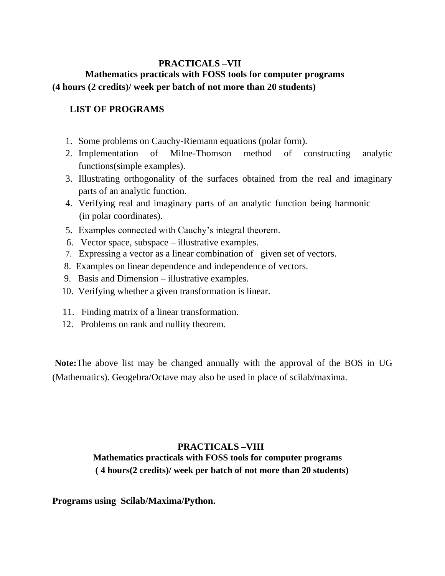### **PRACTICALS –VII Mathematics practicals with FOSS tools for computer programs (4 hours (2 credits)/ week per batch of not more than 20 students)**

### **LIST OF PROGRAMS**

- 1. Some problems on Cauchy-Riemann equations (polar form).
- 2. Implementation of Milne-Thomson method of constructing analytic functions(simple examples).
- 3. Illustrating orthogonality of the surfaces obtained from the real and imaginary parts of an analytic function.
- 4. Verifying real and imaginary parts of an analytic function being harmonic (in polar coordinates).
- 5. Examples connected with Cauchy's integral theorem.
- 6. Vector space, subspace illustrative examples.
- 7. Expressing a vector as a linear combination of given set of vectors.
- 8. Examples on linear dependence and independence of vectors.
- 9. Basis and Dimension illustrative examples.
- 10. Verifying whether a given transformation is linear.
- 11. Finding matrix of a linear transformation.
- 12. Problems on rank and nullity theorem.

**Note:**The above list may be changed annually with the approval of the BOS in UG (Mathematics). Geogebra/Octave may also be used in place of scilab/maxima.

### **PRACTICALS –VIII Mathematics practicals with FOSS tools for computer programs ( 4 hours(2 credits)/ week per batch of not more than 20 students)**

### **Programs using Scilab/Maxima/Python.**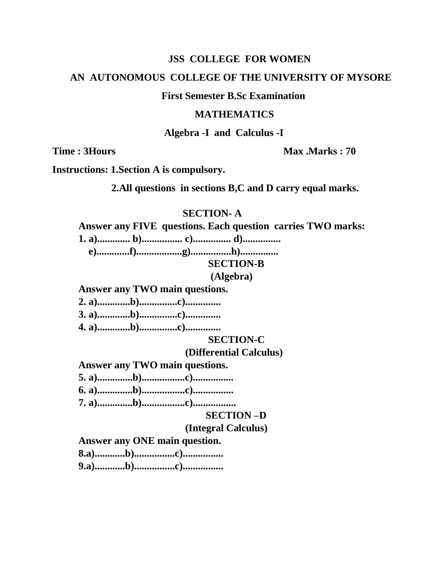### AN AUTONOMOUS COLLEGE OF THE UNIVERSITY OF MYSORE

### **First Semester B.Sc Examination**

#### **MATHEMATICS**

Algebra -I and Calculus -I

**Time: 3Hours** 

Max Marks: 70

**Instructions: 1. Section A is compulsory.** 

2.All questions in sections B,C and D carry equal marks.

### **SECTION-A**

#### Answer any FIVE questions. Each question carries TWO marks:

**SECTION-B** 

### (Algebra)

Answer any TWO main questions.

### **SECTION-C**

### (Differential Calculus)

**Answer any TWO main questions.** 

### **SECTION-D**

### (Integral Calculus)

Answer any ONE main question.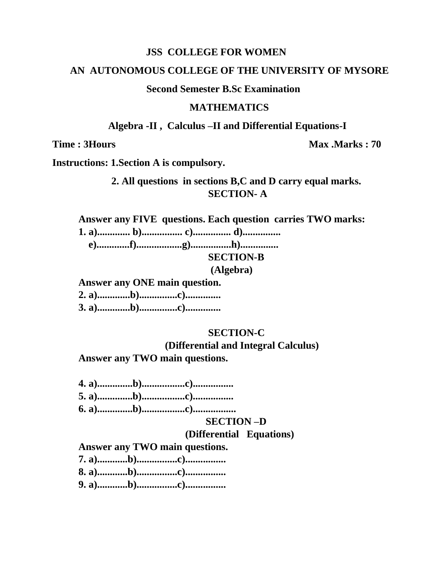### AN AUTONOMOUS COLLEGE OF THE UNIVERSITY OF MYSORE

### **Second Semester B.Sc Examination**

### **MATHEMATICS**

Algebra -II, Calculus -II and Differential Equations-I

**Time: 3Hours** 

Max .Marks: 70

**Instructions: 1. Section A is compulsory.** 

### 2. All questions in sections B,C and D carry equal marks. **SECTION-A**

Answer any FIVE questions. Each question carries TWO marks:

### **SECTION-B**

(Algebra)

Answer any ONE main question. 

### **SECTION-C**

(Differential and Integral Calculus)

Answer any TWO main questions.

### **SECTION-D**

### (Differential Equations)

Answer any TWO main questions.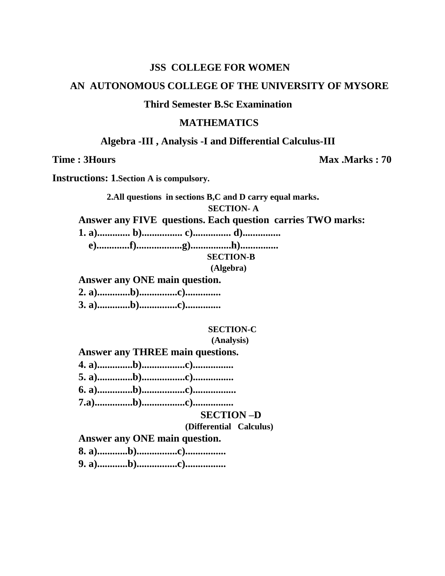### AN AUTONOMOUS COLLEGE OF THE UNIVERSITY OF MYSORE

### **Third Semester B.Sc Examination**

### **MATHEMATICS**

#### Algebra -III, Analysis -I and Differential Calculus-III

**Time: 3Hours** 

Max . Marks: 70

**Instructions: 1. Section A is compulsory.** 

2.All questions in sections B,C and D carry equal marks. **SECTION-A** 

Answer any FIVE questions. Each question carries TWO marks:

**SECTION-B** 

(Algebra)

Answer any ONE main question. 

#### **SECTION-C**

(Analysis)

**Answer any THREE main questions.** 

### **SECTION-D**

(Differential Calculus)

Answer any ONE main question.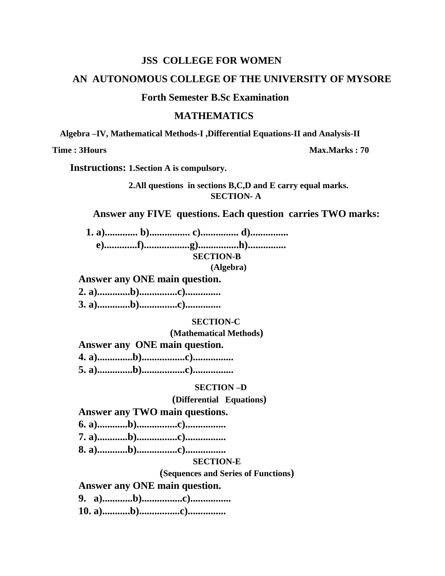### AN AUTONOMOUS COLLEGE OF THE UNIVERSITY OF MYSORE

### **Forth Semester B.Sc Examination**

#### **MATHEMATICS**

Algebra -IV, Mathematical Methods-I , Differential Equations-II and Analysis-II

Time: 3Hours

Max.Marks: 70

**Instructions: 1. Section A is compulsory.** 

2.All questions in sections B,C,D and E carry equal marks. **SECTION-A** 

#### Answer any FIVE questions. Each question carries TWO marks:

**SECTION-B** 

(Algebra)

#### Answer any ONE main question.

#### **SECTION-C**

(Mathematical Methods)

Answer any ONE main question.

#### **SECTION-D**

#### (Differential Equations)

#### Answer any TWO main questions.

- 
- 

#### **SECTION-E**

(Sequences and Series of Functions)

Answer any ONE main question.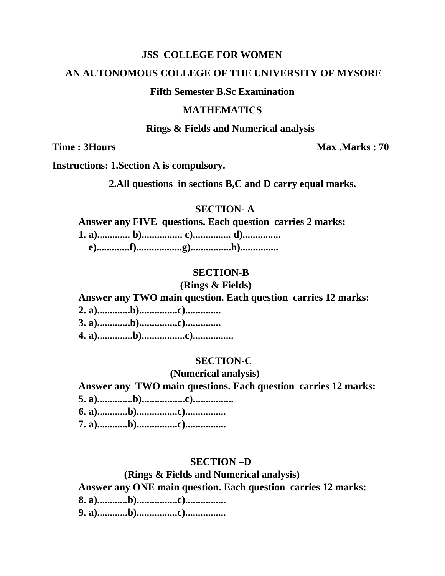### AN AUTONOMOUS COLLEGE OF THE UNIVERSITY OF MYSORE

#### **Fifth Semester B.Sc Examination**

### **MATHEMATICS**

#### **Rings & Fields and Numerical analysis**

**Time: 3Hours** 

Max .Marks: 70

**Instructions: 1. Section A is compulsory.** 

2. All questions in sections B,C and D carry equal marks.

#### **SECTION-A**

### Answer any FIVE questions. Each question carries 2 marks:

### **SECTION-B**

### (Rings & Fields)

### Answer any TWO main question. Each question carries 12 marks:

#### **SECTION-C**

#### (Numerical analysis)

Answer any TWO main questions. Each question carries 12 marks: 

### **SECTION-D**

### (Rings & Fields and Numerical analysis) Answer any ONE main question. Each question carries 12 marks: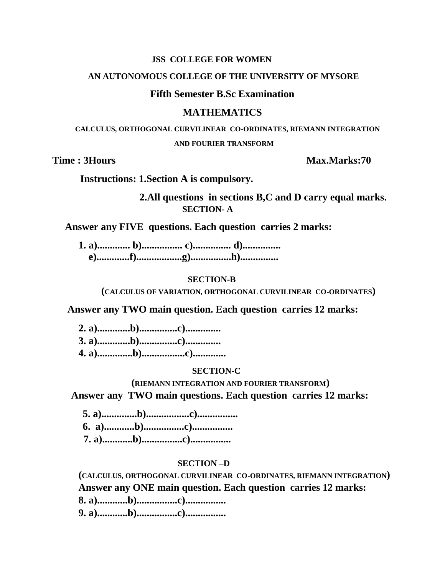#### AN AUTONOMOUS COLLEGE OF THE UNIVERSITY OF MYSORE

### **Fifth Semester B.Sc Examination**

#### **MATHEMATICS**

CALCULUS, ORTHOGONAL CURVILINEAR CO-ORDINATES, RIEMANN INTEGRATION **AND FOURIER TRANSFORM** 

**Time: 3Hours** 

### Max.Marks:70

**Instructions: 1. Section A is compulsory.** 

2. All questions in sections B,C and D carry equal marks. **SECTION-A** 

Answer any FIVE questions. Each question carries 2 marks:

#### **SECTION-B**

(CALCULUS OF VARIATION, ORTHOGONAL CURVILINEAR CO-ORDINATES)

Answer any TWO main question. Each question carries 12 marks:

#### **SECTION-C**

(RIEMANN INTEGRATION AND FOURIER TRANSFORM) Answer any TWO main questions. Each question carries 12 marks:

#### **SECTION-D**

(CALCULUS, ORTHOGONAL CURVILINEAR CO-ORDINATES, RIEMANN INTEGRATION) Answer any ONE main question. Each question carries 12 marks: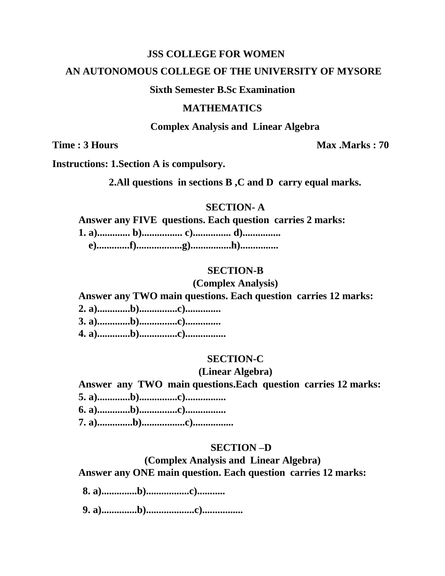### AN AUTONOMOUS COLLEGE OF THE UNIVERSITY OF MYSORE

### **Sixth Semester B.Sc Examination**

### **MATHEMATICS**

#### **Complex Analysis and Linear Algebra**

Time: 3 Hours

Max Marks: 70

**Instructions: 1. Section A is compulsory.** 

2. All questions in sections B, C and D carry equal marks.

### **SECTION-A**

Answer any FIVE questions. Each question carries 2 marks:

#### **SECTION-B**

### (Complex Analysis)

### Answer any TWO main questions. Each question carries 12 marks:

- 
- 
- 

#### **SECTION-C**

#### (Linear Algebra)

Answer any TWO main questions. Each question carries 12 marks: 

### **SECTION-D**

(Complex Analysis and Linear Algebra)

Answer any ONE main question. Each question carries 12 marks: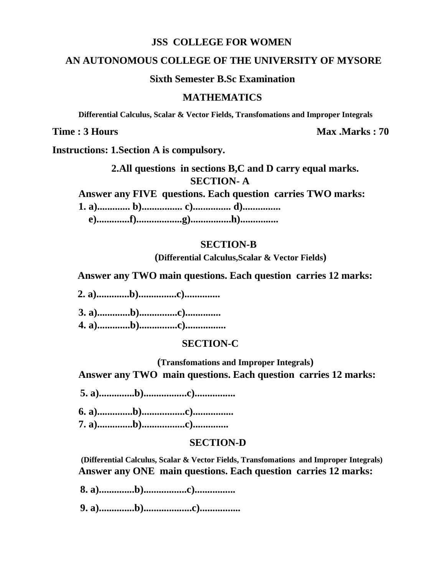#### **AN AUTONOMOUS COLLEGE OF THE UNIVERSITY OF MYSORE**

**Sixth Semester B.Sc Examination**

#### **MATHEMATICS**

 **Differential Calculus, Scalar & Vector Fields, Transfomations and Improper Integrals**

**Time : 3 Hours** Max .Marks : 70

**Instructions: 1.Section A is compulsory.**

 **2.All questions in sections B,C and D carry equal marks. SECTION- A**

**Answer any FIVE questions. Each question carries TWO marks:**

**1. a)............. b)................ c)............... d)...............**

 **e).............f)..................g)................h)...............**

#### **SECTION-B**

 **(Differential Calculus,Scalar & Vector Fields)**

 **Answer any TWO main questions. Each question carries 12 marks:**

 **2. a).............b)...............c)..............**

**3. a).............b)...............c).............. 4. a).............b)...............c)................**

### **SECTION-C**

**(Transfomations and Improper Integrals) Answer any TWO main questions. Each question carries 12 marks:**

 **5. a)..............b).................c)................**

**6. a)..............b).................c)................ 7. a)..............b).................c)..............**

### **SECTION-D**

**(Differential Calculus, Scalar & Vector Fields, Transfomations and Improper Integrals) Answer any ONE main questions. Each question carries 12 marks:**

 **8. a)..............b).................c)................**

 **9. a)..............b)...................c)................**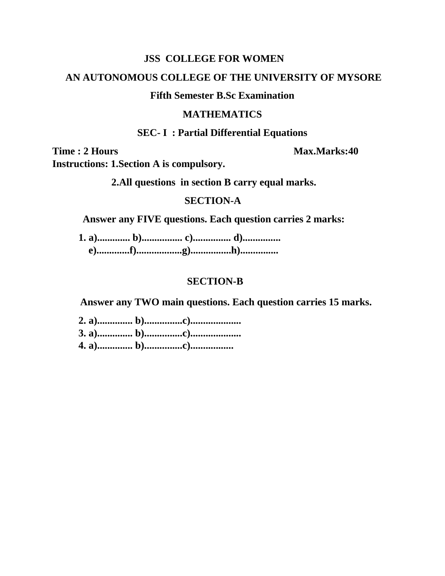### AN AUTONOMOUS COLLEGE OF THE UNIVERSITY OF MYSORE

### **Fifth Semester B.Sc Examination**

### **MATHEMATICS**

### **SEC-I: Partial Differential Equations**

Time: 2 Hours

#### Max.Marks:40

**Instructions: 1. Section A is compulsory.** 

2. All questions in section B carry equal marks.

### **SECTION-A**

Answer any FIVE questions. Each question carries 2 marks:

### **SECTION-B**

Answer any TWO main questions. Each question carries 15 marks.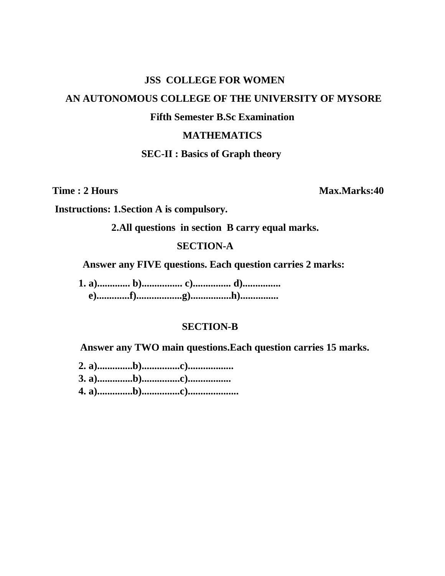# AN AUTONOMOUS COLLEGE OF THE UNIVERSITY OF MYSORE

**JSS COLLEGE FOR WOMEN** 

### **Fifth Semester B.Sc Examination**

### **MATHEMATICS**

**SEC-II : Basics of Graph theory** 

Time: 2 Hours

Max.Marks:40

**Instructions: 1. Section A is compulsory.** 

2. All questions in section B carry equal marks.

### **SECTION-A**

Answer any FIVE questions. Each question carries 2 marks:

### **SECTION-B**

Answer any TWO main questions. Each question carries 15 marks.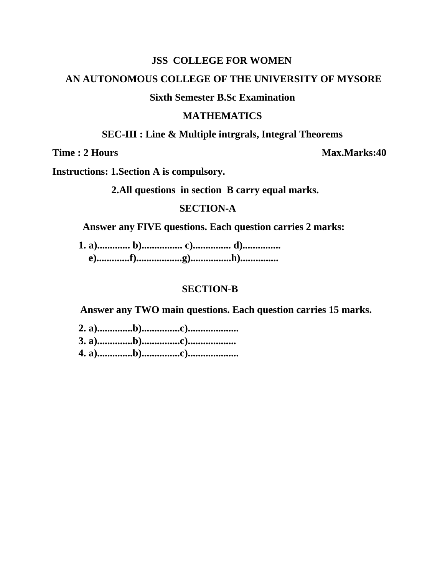### AN AUTONOMOUS COLLEGE OF THE UNIVERSITY OF MYSORE

### **Sixth Semester B.Sc Examination**

#### **MATHEMATICS**

**SEC-III : Line & Multiple intrgrals, Integral Theorems** 

Time: 2 Hours

Max.Marks:40

**Instructions: 1. Section A is compulsory.** 

2. All questions in section B carry equal marks.

### **SECTION-A**

Answer any FIVE questions. Each question carries 2 marks:

### **SECTION-B**

Answer any TWO main questions. Each question carries 15 marks.